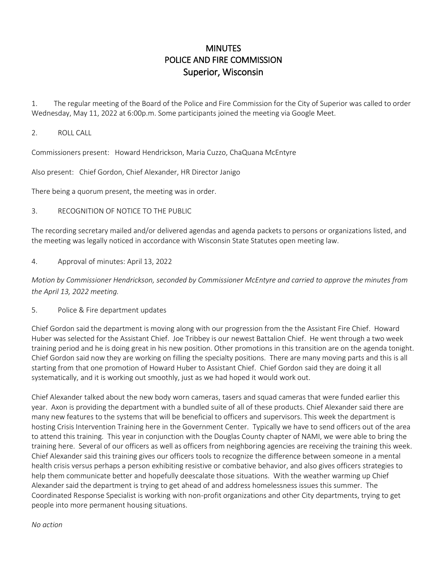## MINUTES POLICE AND FIRE COMMISSION Superior, Wisconsin

1. The regular meeting of the Board of the Police and Fire Commission for the City of Superior was called to order Wednesday, May 11, 2022 at 6:00p.m. Some participants joined the meeting via Google Meet.

2. ROLL CALL

Commissioners present: Howard Hendrickson, Maria Cuzzo, ChaQuana McEntyre

Also present: Chief Gordon, Chief Alexander, HR Director Janigo

There being a quorum present, the meeting was in order.

## 3. RECOGNITION OF NOTICE TO THE PUBLIC

The recording secretary mailed and/or delivered agendas and agenda packets to persons or organizations listed, and the meeting was legally noticed in accordance with Wisconsin State Statutes open meeting law.

4. Approval of minutes: April 13, 2022

*Motion by Commissioner Hendrickson, seconded by Commissioner McEntyre and carried to approve the minutes from the April 13, 2022 meeting.* 

5. Police & Fire department updates

Chief Gordon said the department is moving along with our progression from the the Assistant Fire Chief. Howard Huber was selected for the Assistant Chief. Joe Tribbey is our newest Battalion Chief. He went through a two week training period and he is doing great in his new position. Other promotions in this transition are on the agenda tonight. Chief Gordon said now they are working on filling the specialty positions. There are many moving parts and this is all starting from that one promotion of Howard Huber to Assistant Chief. Chief Gordon said they are doing it all systematically, and it is working out smoothly, just as we had hoped it would work out.

Chief Alexander talked about the new body worn cameras, tasers and squad cameras that were funded earlier this year. Axon is providing the department with a bundled suite of all of these products. Chief Alexander said there are many new features to the systems that will be beneficial to officers and supervisors. This week the department is hosting Crisis Intervention Training here in the Government Center. Typically we have to send officers out of the area to attend this training. This year in conjunction with the Douglas County chapter of NAMI, we were able to bring the training here. Several of our officers as well as officers from neighboring agencies are receiving the training this week. Chief Alexander said this training gives our officers tools to recognize the difference between someone in a mental health crisis versus perhaps a person exhibiting resistive or combative behavior, and also gives officers strategies to help them communicate better and hopefully deescalate those situations. With the weather warming up Chief Alexander said the department is trying to get ahead of and address homelessness issues this summer. The Coordinated Response Specialist is working with non-profit organizations and other City departments, trying to get people into more permanent housing situations.

*No action*